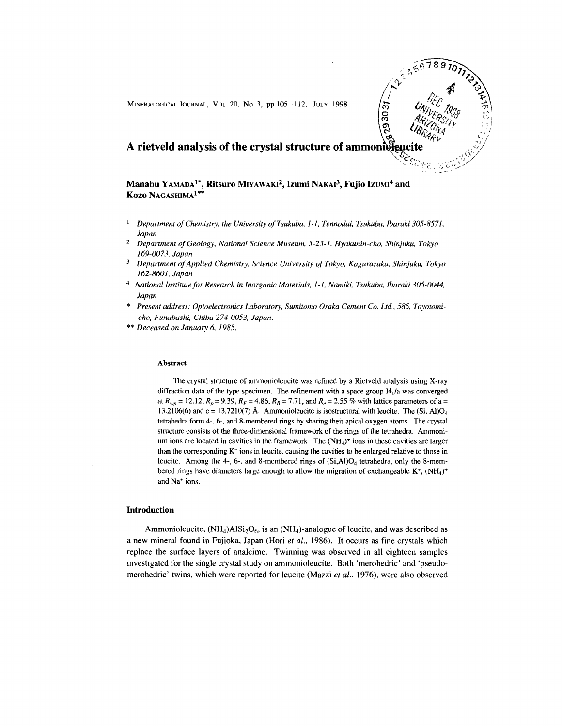

**Manabu** YAMADA1\*, **Ritsuro** MIYAWAKI2, **Izumi** NAKAI3, **Fujio** IZUMI4 **and** Ko<mark>zo</mark> Nagashima<sup>1\*\*</sup>

- $\mathbf{I}$ *Department of Chemistry, the University ofTsukuba, I-I, Tennodai, Tsukuba, Ibaraki 305-8571, Japan*
- 2 *Department of Geology, National Science Museum, 3-23-1, Hyakunin-cho, Shinjuku, Tokyo 169-0073, Japan*
- *Department of Applied Chemistry, Science University of Tokyo, Kagurazaka, Shinjuku, Tokyo 162-8601, Japan*
- 4 *National Institute for Research in Inorganic Materials, I-I, Namiki, Tsukuba, Ibaraki 305-0044, Japan*
- *Present address: Optoelectronics Laboratory, Sumitomo Osaka Cement Co. Ltd.,* 585, *Toyotomicho, Funabashi, Chiba 274-0053, Japan.*
- \*\* *Deceased on January* 6, 1985.

#### Abstract

The crystal structure of ammonioleucite was refined by a Rietveld analysis using X-ray diffraction data of the type specimen. The refinement with a space group I4,/a was converged *at*  $R_{wp}$  = 12.12,  $R_p$  = 9.39,  $R_F$  = 4.86,  $R_B$  = 7.71, and  $R_e$  = 2.55 % with lattice parameters of a = 13.2106(6) and c = 13.7210(7) Å. Ammonioleucite is isostructural with leucite. The (Si, Al)O<sub>4</sub> tetrahedra form 4-, 6-, and 8-membered rings by sharing their apical oxygen atoms. The crystal structure consists of the three-dimensional framework of the rings of the tetrahedra. Ammonium ions are located in cavities in the framework. The  $(NH<sub>4</sub>)<sup>+</sup>$  ions in these cavities are larger than the corresponding K+ ions in leucite, causing the cavities to be enlarged relative to those in leucite. Among the 4-, 6-, and 8-membered rings of  $(Si, A)O<sub>4</sub>$  tetrahedra, only the 8-membered rings have diameters large enough to allow the migration of exchangeable  $K^+$ ,  $(NH_4)^+$ and Na+ ions.

## **Introduction**

Ammonioleucite,  $(NH_4)AISi_2O_6$ , is an  $(NH_4)$ -analogue of leucite, and was described as a new mineral found in Fujioka, Japan (Hori *et al.,* 1986). It occurs as fine crystals which replace the surface layers of analcime. Twinning was observed in all eighteen samples investigated for the single crystal study on ammonioleucite. Both 'merohedric' and 'pseudomerohedric' twins, which were reported for 1eucite (Mazzi *et al.,* 1976), were also observed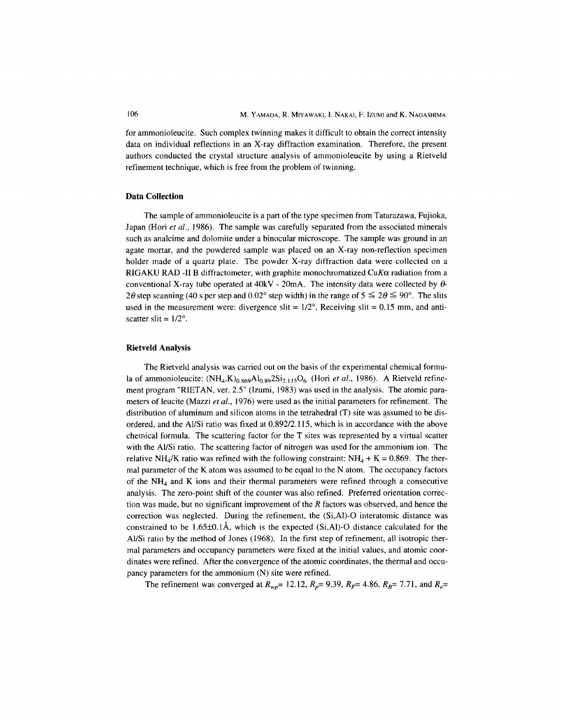for ammonioleucite. Such complex twinning makes it difficult to obtain the correct intensity data on individual reflections in an X-ray diffraction examination. Therefore, the present authors conducted the crystal structure analysis of ammonioleucite by using a Rietveld refinement technique, which is free from the problem of twinning.

## **Data Collection**

The sample of ammonioleucite is a part of the type specimen from Tatarazawa, Fujioka, Japan (Hori *et al.,* 1986). The sample was carefully separated from the associated minerals such as analcime and dolomite under a binocular microscope. The sample was ground in an agate mortar, and the powdered sample was placed on an X-ray non-reflection specimen holder made of a quartz plate. The powder X-ray diffraction data were collected on a RIGAKU RAD -II B diffractometer, with graphite monochromatized  $CuK\alpha$  radiation from a conventional X-ray tube operated at  $40kV - 20mA$ . The intensity data were collected by  $\theta$ -2 $\theta$  step scanning (40 s per step and 0.02° step width) in the range of  $5 \leq 2\theta \leq 90^{\circ}$ . The slits used in the measurement were: divergence slit =  $1/2^{\circ}$ , Receiving slit = 0.15 mm, and antiscatter slit =  $1/2^{\circ}$ .

#### **Rietveld** Analysis

The Rietveld analysis was carried out on the basis of the experimental chemical formula of ammonioleucite:  $(NH_4,K)_{0.869}Al_{0.89}2Si_{2,115}O_6$  (Hori *et al.*, 1986). A Rietveld refinement program "RIETAN, ver. 2.5" (Izumi, 1983) was used in the analysis. The atomic parameters of leucite (Mazzi *et al.,* 1976) were used as the initial parameters for refinement. The distribution of aluminum and silicon atoms in the tetrahedral  $(T)$  site was assumed to be disordered, and the Al/Si ratio was fixed at 0.892/2.115, which is in accordance with the above chemical formula. The scattering factor for the T sites was represented by a virtual scatter with the Al/Si ratio. The scattering factor of nitrogen was used for the ammonium ion. The relative NH<sub>4</sub>/K ratio was refined with the following constraint: NH<sub>4</sub> + K = 0.869. The thermal parameter of the K atom was assumed to be equal to the N atom. The occupancy factors of the  $NH<sub>4</sub>$  and K ions and their thermal parameters were refined through a consecutive analysis. The zero-point shift of the counter was also refined. Preferred orientation correction was made, but no significant improvement of the *R* factors was observed, and hence the correction was neglected. During the refinement, the (Si,AI)-O interatomic distance was constrained to be 1.65 $\pm$ 0.1Å, which is the expected (Si,AI)-O distance calculated for the Al/Si ratio by the method of Jones (1968). In the first step of refinement, all isotropic thermal parameters and occupancy parameters were fixed at the initial values, and atomic coordinates were refined. After the convergence of the atomic coordinates, the thermal and occupancy parameters for the ammonium (N) site were refined.

The refinement was converged at  $R_{wp}$ = 12.12,  $R_p$ = 9.39,  $R_f$ = 4.86,  $R_B$ = 7.71, and  $R_e$ =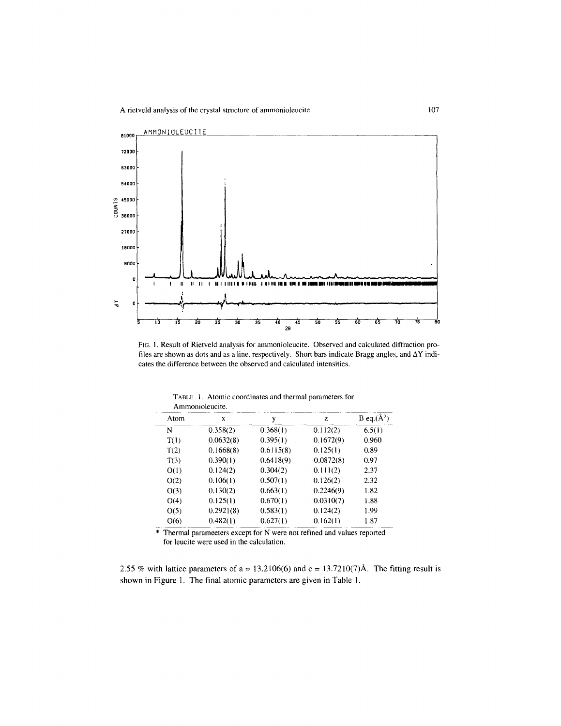

FIG. I. Result of Rietveld analysis for ammonioleucite. Observed and calculated diffraction profiles are shown as dots and as a line, respectively. Short bars indicate Bragg angles, and  $\Delta Y$  indicates the difference between the observed and calculated intensities.

| Allilluluuttuutte, |           |           |           |                 |  |  |
|--------------------|-----------|-----------|-----------|-----------------|--|--|
| Atom               | X         | y         | z         | B eq. $(\AA^2)$ |  |  |
| N                  | 0.358(2)  | 0.368(1)  | 0.112(2)  | 6.5(1)          |  |  |
| T(1)               | 0.0632(8) | 0.395(1)  | 0.1672(9) | 0.960           |  |  |
| T(2)               | 0.1668(8) | 0.6115(8) | 0.125(1)  | 0.89            |  |  |
| T(3)               | 0.390(1)  | 0.6418(9) | 0.0872(8) | 0.97            |  |  |
| O(1)               | 0.124(2)  | 0.304(2)  | 0.111(2)  | 2.37            |  |  |
| O(2)               | 0.106(1)  | 0.507(1)  | 0.126(2)  | 2.32            |  |  |
| O(3)               | 0.130(2)  | 0.663(1)  | 0.2246(9) | 1.82            |  |  |
| O(4)               | 0.125(1)  | 0.670(1)  | 0.0310(7) | 1.88            |  |  |
| O(5)               | 0.2921(8) | 0.583(1)  | 0.124(2)  | 1.99            |  |  |
| O(6)               | 0.482(1)  | 0.627(1)  | 0.162(1)  | 1.87            |  |  |
|                    |           |           |           |                 |  |  |

TABLE 1. Atomic coordinates and thermal parameters for Ammonioleucite.

 $\overline{\mathbf{r}}$  Thermal neuronators aver \* Thermal parameeters except for N were not refined and values reported for leucite were used in the calculation.

2.55 % with lattice parameters of  $a = 13.2106(6)$  and  $c = 13.7210(7)$ Å. The fitting result is shown in Figure I. The final atomic parameters are given in Table I.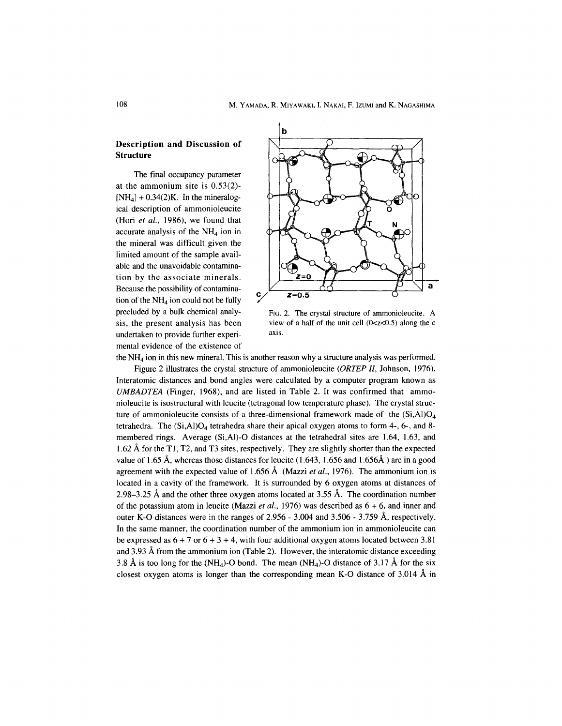# **Description and Discussion of Structure**

The final occupancy parameter at the ammonium site is 0.53(2)-  $[NH<sub>4</sub>] + 0.34(2)K$ . In the mineralogical description of ammonioleucite (Hori *et al..* 1986), we found that accurate analysis of the  $NH<sub>4</sub>$  ion in the mineral was difficult given the limited amount of the sample available and the unavoidable contamination by the associate minerals. Because the possibility of contamination of the  $NH<sub>4</sub>$  ion could not be fully precluded by a bulk chemical analysis, the present analysis has been undertaken to provide further experimental evidence of the existence of



FIG. 2. The crystal structure of ammonioleucite. A view of a half of the unit cell  $(0 < z < 0.5)$  along the c axis.

the  $NH<sub>4</sub>$  ion in this new mineral. This is another reason why a structure analysis was performed.

Figure 2 illustrates the crystal structure of ammonioleucite *(ORTE? II,* Johnson, 1976). Interatomic distances and bond angles were calculated by a computer program known as *UMBADTEA* (Finger, 1968), and are listed in Table 2. It was confirmed that ammonioleucite is isostructural with leucite (tetragonal low temperature phase). The crystal structure of ammonioleucite consists of a three-dimensional framework made of the  $(Si, A)O<sub>4</sub>$ tetrahedra. The  $(Si, A)O<sub>4</sub>$  tetrahedra share their apical oxygen atoms to form 4-, 6-, and 8membered rings. Average (Si,AI)-O distances at the tetrahedral sites are 1.64, 1.63, and 1.62 A for the TI, T2, and T3 sites, respectively. They are slightly shorter than the expected value of 1.65 Å, whereas those distances for leucite (1.643, 1.656 and 1.656Å) are in a good agreement with the expected value of 1.656 A (Mazzi *et al.,* 1976). The ammonium ion is located in a cavity of the framework. It is surrounded by 6 oxygen atoms at distances of 2.98–3.25 Å and the other three oxygen atoms located at 3.55 Å. The coordination number of the potassium atom in leucite (Mazzi *et al.,* 1976) was described as 6 + 6, and inner and outer K-O distances were in the ranges of 2.956 - 3.004 and 3.506 - 3.759 A, respectively. In the same manner, the coordination number of the ammonium ion in ammonioleucite can be expressed as  $6 + 7$  or  $6 + 3 + 4$ , with four additional oxygen atoms located between 3.81 and 3.93 Afrom the ammonium ion (Table 2). However, the interatomic distance exceeding 3.8 Å is too long for the  $(NH_4)$ -O bond. The mean  $(NH_4)$ -O distance of 3.17 Å for the six closest oxygen atoms is longer than the corresponding mean K-O distance of  $3.014 \text{ Å}$  in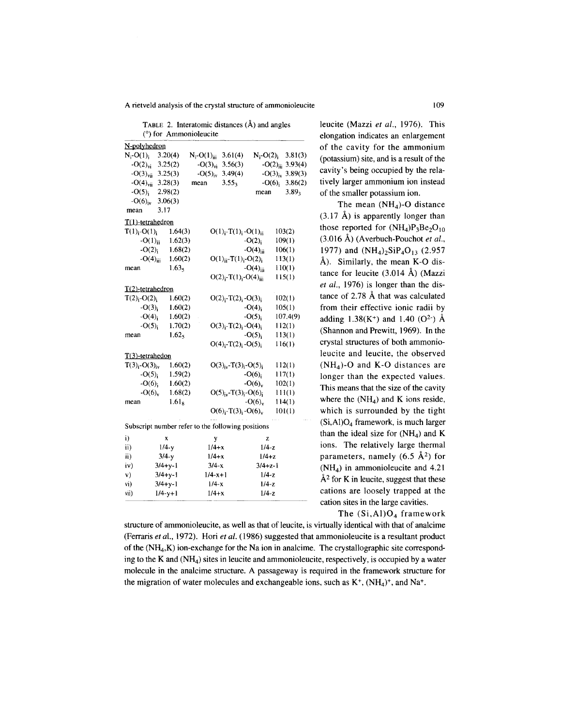A rietveld analysis of the crystal structure of ammonioleucite

TABLE 2. Interatomic distances  $(\hat{A})$  and angles (0) for Ammonioleucite

|                                                   | <i><b>IMMIDI</b></i> |                            |                                                    |                          |          |
|---------------------------------------------------|----------------------|----------------------------|----------------------------------------------------|--------------------------|----------|
| N-polyhedron                                      |                      |                            |                                                    |                          |          |
| $N_i$ -O(1).                                      | 3.20(4)              | $N_i$ -O(1) <sub>iii</sub> | 3.61(4)                                            | $N_i$ -O(2) <sub>i</sub> | 3.81(3)  |
| $-O(2)vi$                                         | 3.25(2)              | $-O(3)vi$                  | 3.56(3)                                            | $-O(2)_{ii}$             | 3.93(4)  |
| $-O(3)_{\text{vii}}$                              | 3.25(3)              | $-O(5)_{iv}$               | 3.49(4)                                            | $-O(3)iv$                | 3.89(3)  |
| $-O(4)_{\text{vii}}$                              | 3.28(3)              | mean                       | 3.55 <sub>3</sub>                                  | $-O(6)_{i}$              | 3.86(2)  |
| $-O(5)_{i}$                                       | 2.98(2)              |                            |                                                    | mean                     | $3.89_3$ |
| $- O(6)_{\text{iv}}$                              | 3.06(3)              |                            |                                                    |                          |          |
| mean                                              | 3.17                 |                            |                                                    |                          |          |
| $T(1)$ -tetrahedron                               |                      |                            |                                                    |                          |          |
| $T(1)_i$ -O(1) <sub>i</sub>                       | 1.64(3)              |                            | $O(1)_{i}$ -T(1) <sub>i</sub> -O(1) <sub>ii</sub>  |                          | 103(2)   |
| $-O(1)_{ii}$                                      | 1.62(3)              |                            |                                                    | $-O(2)_{i}$              | 109(1)   |
| $-O(2)_{i}$                                       | 1.68(2)              |                            |                                                    | $-O(4)_{iii}$            | 106(1)   |
| $-O(4)$ iii                                       | 1.60(2)              |                            | $O(1)_{ii} - T(1)_{i} - O(2)_{i}$                  |                          | 113(1)   |
| mean                                              | 1.63 <sub>5</sub>    |                            |                                                    | $-O(4)_{iii}$            | 110(1)   |
|                                                   |                      |                            | $O(2)_{i}$ -T(1) <sub>i</sub> -O(4) <sub>iii</sub> |                          | 115(1)   |
| T(2)-tetrahedron                                  |                      |                            |                                                    |                          |          |
| $T(2)_i$ -O(2) <sub>i</sub>                       | 1.60(2)              |                            | $O(2)_{i} - T(2)_{i} - O(3)_{i}$                   |                          | 102(1)   |
| $-O(3)_{i}$                                       | 1.60(2)              |                            |                                                    | $-O(4)$                  | 105(1)   |
| $-O(4)_{i}$                                       | 1.60(2)              |                            |                                                    | $-O(5)$                  | 107.4(9) |
| $-O(5)_{i}$                                       | 1.70(2)              |                            | $O(3)_i-T(2)_i-O(4)_i$                             |                          | 112(1)   |
| mean                                              | 1.62 <sub>5</sub>    |                            |                                                    | $-O(5)$                  | 113(1)   |
|                                                   |                      |                            | $O(4)_{i} - T(2)_{i} - O(5)_{i}$                   |                          | 116(1)   |
| $T(3)$ -tetrahedon                                |                      |                            |                                                    |                          |          |
| $T(3)_{i}$ -O(3) <sub>iv</sub>                    | 1.60(2)              |                            | $O(3)_{iv} - T(3)_{i} - O(5)_{i}$                  |                          | 112(1)   |
| $-O(5)_{i}$                                       | 1.59(2)              |                            |                                                    | $- O(6)_{i}$             | 117(1)   |
| $- O(6)$ ;                                        | 1.60(2)              |                            |                                                    | $-O(6)$                  | 102(1)   |
| $-O(6)v$                                          | 1.68(2)              |                            | $O(5)_{iv}$ -T(3) <sub>i</sub> -O(6) <sub>i</sub>  |                          | 111(1)   |
| mean                                              | 1.61 <sub>8</sub>    |                            |                                                    | $-O(6)v$                 | 114(1)   |
|                                                   |                      |                            | $O(6)_{i} - T(3)_{i} - O(6)_{v}$                   |                          | 101(1)   |
|                                                   |                      |                            |                                                    |                          |          |
| Subscript number refer to the following positions |                      |                            |                                                    |                          |          |
| i)                                                | X                    | у                          |                                                    | z                        |          |
| ii)                                               | $1/4-y$              |                            | $1/4+x$                                            | $1/4-z$                  |          |
| iii)                                              | $3/4-y$              |                            | $1/4 + x$                                          | $1/4+z$                  |          |
| iv)                                               | $3/4+y-1$            |                            | $3/4-x$                                            | $3/4 + z - 1$            |          |
| v)                                                | $3/4+y-1$            |                            | $1/4 - x + 1$                                      | $1/4-z$                  |          |
| vi)                                               | $3/4 + y - 1$        |                            | $1/4-x$                                            | $1/4-z$                  |          |
| vii)                                              | $1/4 - y + 1$        |                            | $1/4+x$<br>$1/4-z$                                 |                          |          |

leucite (Mazzi *et ai.,* 1976). This elongation indicates an enlargement of the cavity for the ammonium (potassium) site, and is a result of the cavity's being occupied by the relatively larger ammonium ion instead of the smaller potassium ion.

The mean  $(NH_4)$ -O distance  $(3.17 \text{ Å})$  is apparently longer than those reported for  $(NH_4)P_3Be_2O_{10}$ (3.016 A) (Averbuch-Pouchot *et ai.,* 1977) and  $(NH_4)_2SiP_4O_{13}$  (2.957 A). Similarly, the mean K-O distance for leucite (3.014 A) (Mazzi *et ai.,* 1976) is longer than the distance of 2.78 A that was calculated from their effective ionic radii by adding  $1.38(K^{+})$  and  $1.40$  (O<sup>2-</sup>) Å (Shannon and Prewitt, 1969). **In** the crystal structures of both ammonioleucite and leucite, the observed  $(NH<sub>4</sub>)$ -O and K-O distances are longer than the expected values. This means that the size of the cavity where the  $(NH_4)$  and K ions reside, which is surrounded by the tight  $(Si, A)O_4$  framework, is much larger than the ideal size for  $(NH_4)$  and K ions. The relatively large thermal parameters, namely  $(6.5 \text{ Å}^2)$  for (NH4) in ammonioleucite and 4.21  $A<sup>2</sup>$  for K in leucite, suggest that these cations are loosely trapped at the cation sites in the large cavities. The  $(Si, A1)O<sub>4</sub>$  framework

structure of ammonioleucite, as well as that of leucite, is virtually identical with that of analcime (Ferraris *et aI.,* 1972). Hori *et ai.* (1986) suggested that ammonioleucite is a resultant product of the  $(NH_4,K)$  ion-exchange for the Na ion in analcime. The crystallographic site corresponding to the K and  $(NH_4)$  sites in leucite and ammonioleucite, respectively, is occupied by a water molecule in the analcime structure. A passageway is required in the framework structure for the migration of water molecules and exchangeable ions, such as  $K^+$ ,  $(NH_4)^+$ , and Na<sup>+</sup>.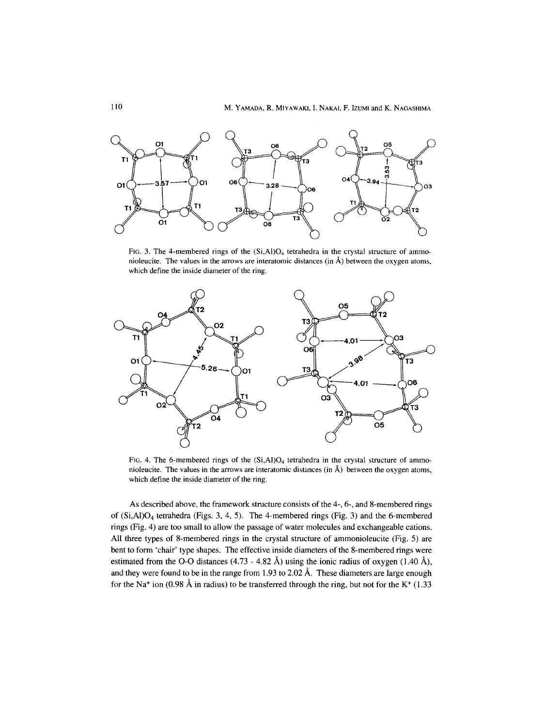

FIG. 3. The 4-membered rings of the  $(Si, A)O<sub>4</sub>$  tetrahedra in the crystal structure of ammonioleucite. The values in the arrows are interatomic distances (in  $\AA$ ) between the oxygen atoms, which define the inside diameter of the ring.



FIG. 4. The 6-membered rings of the  $(Si, A)O<sub>4</sub>$  tetrahedra in the crystal structure of ammonioleucite. The values in the arrows are interatomic distances (in  $\hat{A}$ ) between the oxygen atoms, which define the inside diameter of the ring.

As described above, the framework structure consists of the 4-,6-, and 8-membered rings of  $(Si, A)$ <sup> $O<sub>4</sub>$ </sup> tetrahedra (Figs. 3, 4, 5). The 4-membered rings (Fig. 3) and the 6-membered rings (Fig. 4) are too small to allow the passage of water molecules and exchangeable cations. All three types of 8-membered rings in the crystal structure of ammonioleucite (Fig. 5) are bent to form 'chair' type shapes. The effective inside diameters of the 8-membered rings were estimated from the O-O distances  $(4.73 - 4.82 \text{ Å})$  using the ionic radius of oxygen  $(1.40 \text{ Å})$ , and they were found to be in the range from 1.93 to 2.02 Å. These diameters are large enough for the Na<sup>+</sup> ion (0.98 Å in radius) to be transferred through the ring, but not for the K<sup>+</sup> (1.33)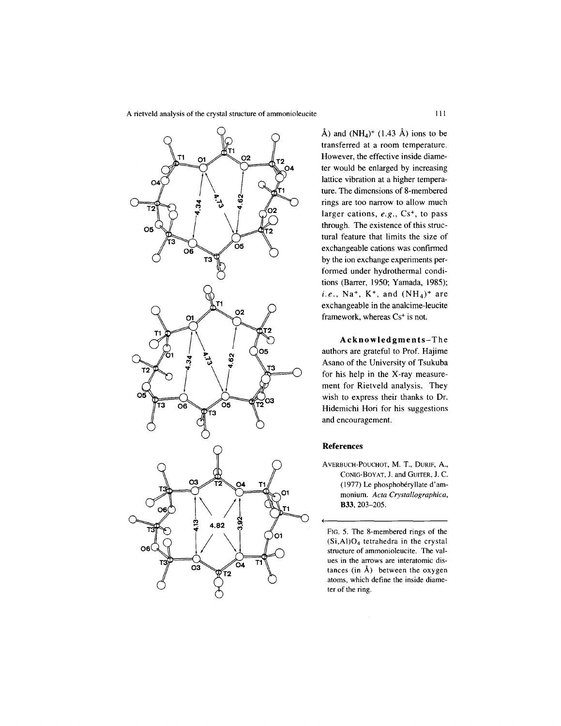

Å) and  $(NH_4)^+$  (1.43 Å) ions to be transferred at a room temperature. However, the effective inside diameter would be enlarged by increasing lattice vibration at a higher temperature. The dimensions of 8-membered rings are too narrow to allow much larger cations, *e.g.*, Cs<sup>+</sup>, to pass through. The existence of this structural feature that limits the size of exchangeable cations was confirmed by the ion exchange experiments performed under hydrothermal conditions (Barrer, 1950; Yamada, 1985); *i.e.*,  $Na^{+}$ ,  $K^{+}$ , and  $(NH_4)^{+}$  are exchangeable in the analcime-Ieucite framework, whereas Cs<sup>+</sup> is not.

**Acknowledgments-** The authors are grateful to Prof. Hajime Asano of the University of Tsukuba for his help in the X-ray measurement for Rietveld analysis. They wish to express their thanks to Dr. Hidemichi Hori for his suggestions and encouragement.

## **References**

(

AVERBUCH-POUCHOT, M. T., DURIF, A., CONIG-BoYAT, J. and GUITER, J. C. (1977) Le phosphobéryllate d'ammonium. *Acta Crystallographica,* **B33,** 203-205.

FIG. 5. The 8-membered rings of the (Si,AI)04 tetrahedra in the crystal structure of ammonioleucite. The values in the arrows are interatomic distances (in  $\hat{A}$ ) between the oxygen atoms, which define the inside diameter of the ring.